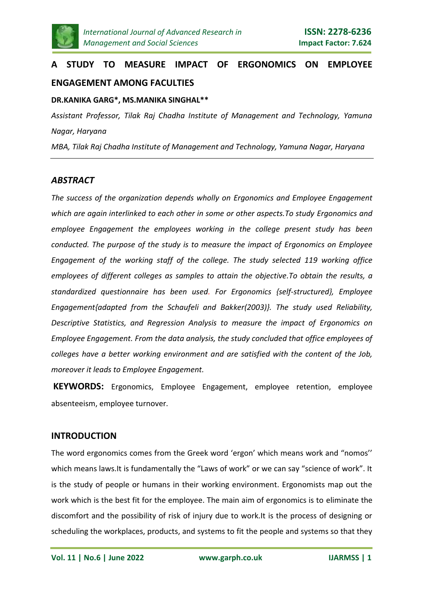

# **A STUDY TO MEASURE IMPACT OF ERGONOMICS ON EMPLOYEE ENGAGEMENT AMONG FACULTIES**

## **DR.KANIKA GARG\*, MS.MANIKA SINGHAL\*\***

*Assistant Professor, Tilak Raj Chadha Institute of Management and Technology, Yamuna Nagar, Haryana*

*MBA, Tilak Raj Chadha Institute of Management and Technology, Yamuna Nagar, Haryana*

# *ABSTRACT*

*The success of the organization depends wholly on Ergonomics and Employee Engagement which are again interlinked to each other in some or other aspects.To study Ergonomics and employee Engagement the employees working in the college present study has been conducted. The purpose of the study is to measure the impact of Ergonomics on Employee Engagement of the working staff of the college. The study selected 119 working office employees of different colleges as samples to attain the objective.To obtain the results, a standardized questionnaire has been used. For Ergonomics {self-structured}, Employee Engagement{adapted from the Schaufeli and Bakker(2003)}. The study used Reliability, Descriptive Statistics, and Regression Analysis to measure the impact of Ergonomics on Employee Engagement. From the data analysis, the study concluded that office employees of colleges have a better working environment and are satisfied with the content of the Job, moreover it leads to Employee Engagement.*

**KEYWORDS:** Ergonomics, Employee Engagement, employee retention, employee absenteeism, employee turnover.

# **INTRODUCTION**

The word ergonomics comes from the Greek word 'ergon' which means work and "nomos'' which means laws.It is fundamentally the "Laws of work" or we can say "science of work". It is the study of people or humans in their working environment. Ergonomists map out the work which is the best fit for the employee. The main aim of ergonomics is to eliminate the discomfort and the possibility of risk of injury due to work.It is the process of designing or scheduling the workplaces, products, and systems to fit the people and systems so that they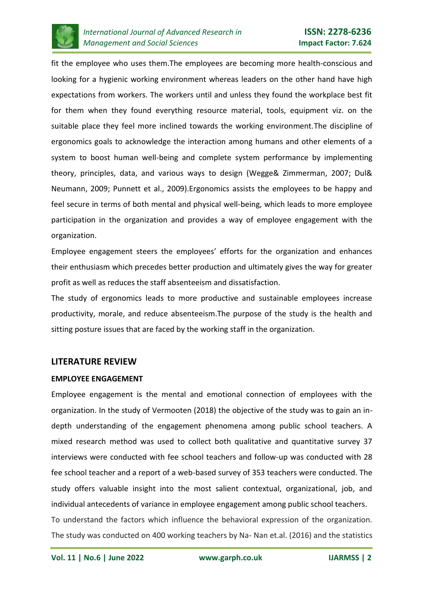

fit the employee who uses them.The employees are becoming more health-conscious and looking for a hygienic working environment whereas leaders on the other hand have high expectations from workers. The workers until and unless they found the workplace best fit for them when they found everything resource material, tools, equipment viz. on the suitable place they feel more inclined towards the working environment.The discipline of ergonomics goals to acknowledge the interaction among humans and other elements of a system to boost human well-being and complete system performance by implementing theory, principles, data, and various ways to design (Wegge& Zimmerman, 2007; Dul& Neumann, 2009; Punnett et al., 2009).Ergonomics assists the employees to be happy and feel secure in terms of both mental and physical well-being, which leads to more employee participation in the organization and provides a way of employee engagement with the organization.

Employee engagement steers the employees' efforts for the organization and enhances their enthusiasm which precedes better production and ultimately gives the way for greater profit as well as reduces the staff absenteeism and dissatisfaction.

The study of ergonomics leads to more productive and sustainable employees increase productivity, morale, and reduce absenteeism.The purpose of the study is the health and sitting posture issues that are faced by the working staff in the organization.

## **LITERATURE REVIEW**

## **EMPLOYEE ENGAGEMENT**

Employee engagement is the mental and emotional connection of employees with the organization. In the study of Vermooten (2018) the objective of the study was to gain an indepth understanding of the engagement phenomena among public school teachers. A mixed research method was used to collect both qualitative and quantitative survey 37 interviews were conducted with fee school teachers and follow-up was conducted with 28 fee school teacher and a report of a web-based survey of 353 teachers were conducted. The study offers valuable insight into the most salient contextual, organizational, job, and individual antecedents of variance in employee engagement among public school teachers. To understand the factors which influence the behavioral expression of the organization. The study was conducted on 400 working teachers by Na- Nan et.al. (2016) and the statistics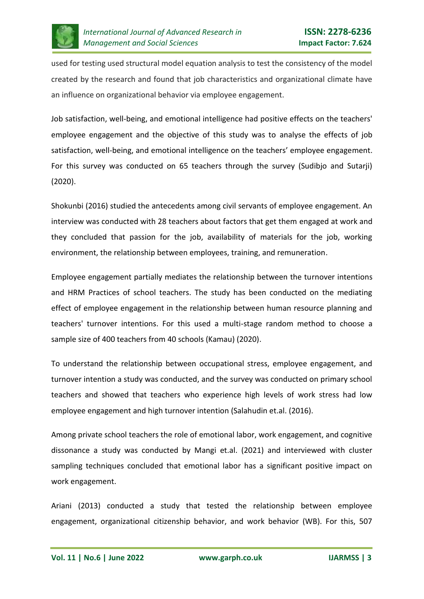

used for testing used structural model equation analysis to test the consistency of the model created by the research and found that job characteristics and organizational climate have an influence on organizational behavior via employee engagement.

Job satisfaction, well-being, and emotional intelligence had positive effects on the teachers' employee engagement and the objective of this study was to analyse the effects of job satisfaction, well-being, and emotional intelligence on the teachers' employee engagement. For this survey was conducted on 65 teachers through the survey (Sudibjo and Sutarji) (2020).

Shokunbi (2016) studied the antecedents among civil servants of employee engagement. An interview was conducted with 28 teachers about factors that get them engaged at work and they concluded that passion for the job, availability of materials for the job, working environment, the relationship between employees, training, and remuneration.

Employee engagement partially mediates the relationship between the turnover intentions and HRM Practices of school teachers. The study has been conducted on the mediating effect of employee engagement in the relationship between human resource planning and teachers' turnover intentions. For this used a multi-stage random method to choose a sample size of 400 teachers from 40 schools (Kamau) (2020).

To understand the relationship between occupational stress, employee engagement, and turnover intention a study was conducted, and the survey was conducted on primary school teachers and showed that teachers who experience high levels of work stress had low employee engagement and high turnover intention (Salahudin et.al. (2016).

Among private school teachers the role of emotional labor, work engagement, and cognitive dissonance a study was conducted by Mangi et.al. (2021) and interviewed with cluster sampling techniques concluded that emotional labor has a significant positive impact on work engagement.

Ariani (2013) conducted a study that tested the relationship between employee engagement, organizational citizenship behavior, and work behavior (WB). For this, 507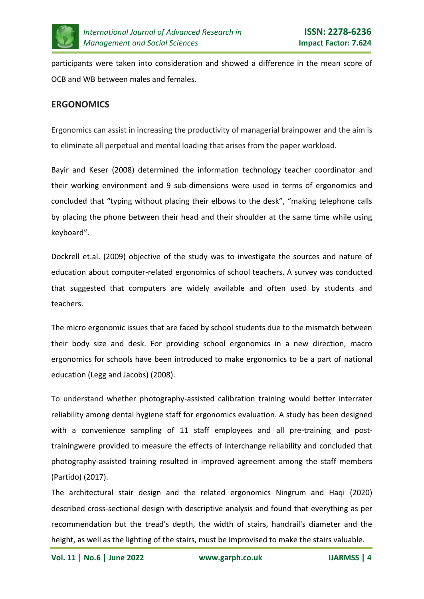

participants were taken into consideration and showed a difference in the mean score of OCB and WB between males and females.

# **ERGONOMICS**

Ergonomics can assist in increasing the productivity of managerial brainpower and the aim is to eliminate all perpetual and mental loading that arises from the paper workload.

Bayir and Keser (2008) determined the information technology teacher coordinator and their working environment and 9 sub-dimensions were used in terms of ergonomics and concluded that "typing without placing their elbows to the desk", "making telephone calls by placing the phone between their head and their shoulder at the same time while using keyboard".

Dockrell et.al. (2009) objective of the study was to investigate the sources and nature of education about computer-related ergonomics of school teachers. A survey was conducted that suggested that computers are widely available and often used by students and teachers.

The micro ergonomic issues that are faced by school students due to the mismatch between their body size and desk. For providing school ergonomics in a new direction, macro ergonomics for schools have been introduced to make ergonomics to be a part of national education (Legg and Jacobs) (2008).

To understand whether photography-assisted calibration training would better interrater reliability among dental hygiene staff for ergonomics evaluation. A study has been designed with a convenience sampling of 11 staff employees and all pre-training and posttrainingwere provided to measure the effects of interchange reliability and concluded that photography-assisted training resulted in improved agreement among the staff members (Partido) (2017).

The architectural stair design and the related ergonomics Ningrum and Haqi (2020) described cross-sectional design with descriptive analysis and found that everything as per recommendation but the tread's depth, the width of stairs, handrail's diameter and the height, as well as the lighting of the stairs, must be improvised to make the stairs valuable.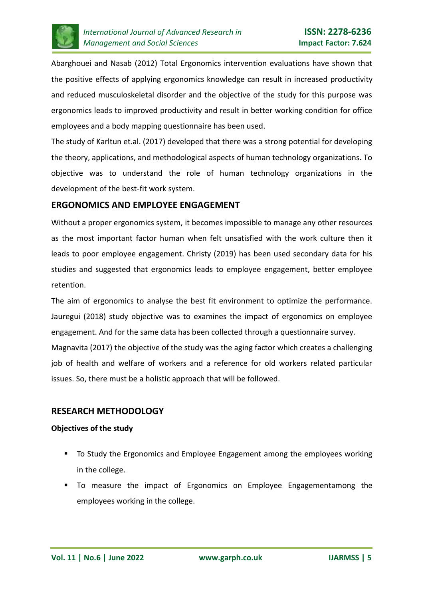

Abarghouei and Nasab (2012) Total Ergonomics intervention evaluations have shown that the positive effects of applying ergonomics knowledge can result in increased productivity and reduced musculoskeletal disorder and the objective of the study for this purpose was ergonomics leads to improved productivity and result in better working condition for office employees and a body mapping questionnaire has been used.

The study of Karltun et.al. (2017) developed that there was a strong potential for developing the theory, applications, and methodological aspects of human technology organizations. To objective was to understand the role of human technology organizations in the development of the best-fit work system.

# **ERGONOMICS AND EMPLOYEE ENGAGEMENT**

Without a proper ergonomics system, it becomes impossible to manage any other resources as the most important factor human when felt unsatisfied with the work culture then it leads to poor employee engagement. Christy (2019) has been used secondary data for his studies and suggested that ergonomics leads to employee engagement, better employee retention.

The aim of ergonomics to analyse the best fit environment to optimize the performance. Jauregui (2018) study objective was to examines the impact of ergonomics on employee engagement. And for the same data has been collected through a questionnaire survey. Magnavita (2017) the objective of the study was the aging factor which creates a challenging job of health and welfare of workers and a reference for old workers related particular issues. So, there must be a holistic approach that will be followed.

# **RESEARCH METHODOLOGY**

## **Objectives of the study**

- To Study the Ergonomics and Employee Engagement among the employees working in the college.
- To measure the impact of Ergonomics on Employee Engagementamong the employees working in the college.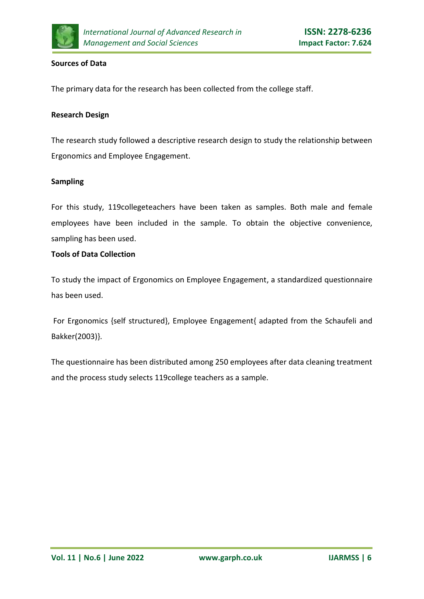

#### **Sources of Data**

The primary data for the research has been collected from the college staff.

#### **Research Design**

The research study followed a descriptive research design to study the relationship between Ergonomics and Employee Engagement.

## **Sampling**

For this study, 119collegeteachers have been taken as samples. Both male and female employees have been included in the sample. To obtain the objective convenience, sampling has been used.

## **Tools of Data Collection**

To study the impact of Ergonomics on Employee Engagement, a standardized questionnaire has been used.

For Ergonomics {self structured}, Employee Engagement{ adapted from the Schaufeli and Bakker(2003)}.

The questionnaire has been distributed among 250 employees after data cleaning treatment and the process study selects 119college teachers as a sample.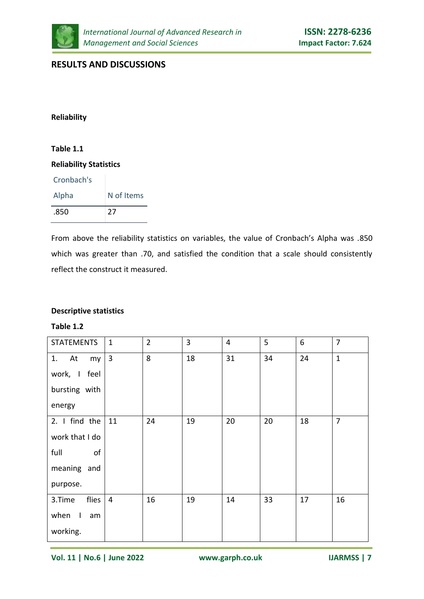

# **RESULTS AND DISCUSSIONS**

#### **Reliability**

## **Table 1.1**

#### **Reliability Statistics**

| Cronbach's |            |
|------------|------------|
| Alpha      | N of Items |
| .850       | 27         |

From above the reliability statistics on variables, the value of Cronbach's Alpha was .850 which was greater than .70, and satisfied the condition that a scale should consistently reflect the construct it measured.

## **Descriptive statistics**

#### **Table 1.2**

| <b>STATEMENTS</b> | $\mathbf{1}$   | $\overline{2}$ | $\overline{3}$ | $\overline{4}$ | 5  | 6  | $\overline{7}$ |
|-------------------|----------------|----------------|----------------|----------------|----|----|----------------|
| 1. At<br>my       | $\overline{3}$ | 8              | 18             | 31             | 34 | 24 | $\mathbf{1}$   |
| work, I feel      |                |                |                |                |    |    |                |
| bursting with     |                |                |                |                |    |    |                |
| energy            |                |                |                |                |    |    |                |
| 2. I find the     | 11             | 24             | 19             | 20             | 20 | 18 | $\overline{7}$ |
| work that I do    |                |                |                |                |    |    |                |
| of<br>full        |                |                |                |                |    |    |                |
| meaning and       |                |                |                |                |    |    |                |
| purpose.          |                |                |                |                |    |    |                |
| flies<br>3.Time   | $\overline{4}$ | 16             | 19             | 14             | 33 | 17 | 16             |
| when I<br>am      |                |                |                |                |    |    |                |
| working.          |                |                |                |                |    |    |                |

**Vol. 11 | No.6 | June 2022 www.garph.co.uk IJARMSS | 7**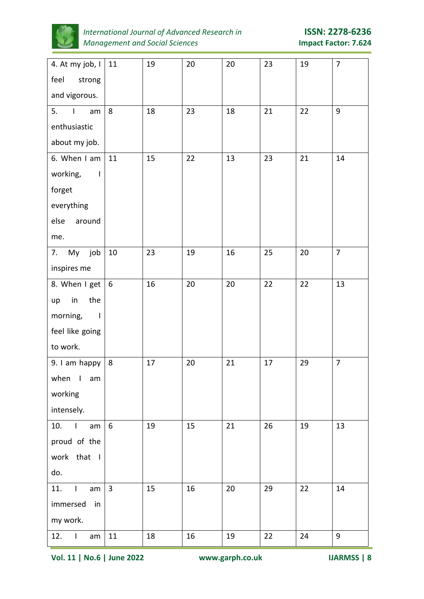

*International Journal of Advanced Research in* **ISSN: 2278-6236** *Management and Social Sciences* **Impact Factor: 7.624**

| 4. At my job, I<br>feel<br>strong | 11             | 19 | 20 | 20 | 23 | 19 | $\overline{7}$ |
|-----------------------------------|----------------|----|----|----|----|----|----------------|
| and vigorous.                     |                |    |    |    |    |    |                |
| 5.<br>$\mathbf{I}$<br>am          | 8              | 18 | 23 | 18 | 21 | 22 | 9              |
| enthusiastic                      |                |    |    |    |    |    |                |
| about my job.                     |                |    |    |    |    |    |                |
| 6. When I am                      | 11             | 15 | 22 | 13 | 23 | 21 | 14             |
| working,<br>$\Box$                |                |    |    |    |    |    |                |
| forget                            |                |    |    |    |    |    |                |
| everything                        |                |    |    |    |    |    |                |
| else<br>around                    |                |    |    |    |    |    |                |
| me.                               |                |    |    |    |    |    |                |
| My job<br>7.                      | 10             | 23 | 19 | 16 | 25 | 20 | $\overline{7}$ |
| inspires me                       |                |    |    |    |    |    |                |
| 8. When I get                     | 6              | 16 | 20 | 20 | 22 | 22 | 13             |
| the<br>in<br>up                   |                |    |    |    |    |    |                |
| morning,<br>$\blacksquare$        |                |    |    |    |    |    |                |
| feel like going                   |                |    |    |    |    |    |                |
| to work.                          |                |    |    |    |    |    |                |
| 9. I am happy                     | $\,8\,$        | 17 | 20 | 21 | 17 | 29 | $\overline{7}$ |
| when I am                         |                |    |    |    |    |    |                |
| working                           |                |    |    |    |    |    |                |
| intensely.                        |                |    |    |    |    |    |                |
| 10.<br>$\blacksquare$<br>am       | 6              | 19 | 15 | 21 | 26 | 19 | 13             |
| proud of the                      |                |    |    |    |    |    |                |
| work that I                       |                |    |    |    |    |    |                |
| do.                               |                |    |    |    |    |    |                |
| 11.<br>$\mathbf{I}$<br>am         | $\overline{3}$ | 15 | 16 | 20 | 29 | 22 | 14             |
| immersed<br>in                    |                |    |    |    |    |    |                |
| my work.                          |                |    |    |    |    |    |                |
| 12.<br>$\mathbf{I}$<br>am         | 11             | 18 | 16 | 19 | 22 | 24 | 9              |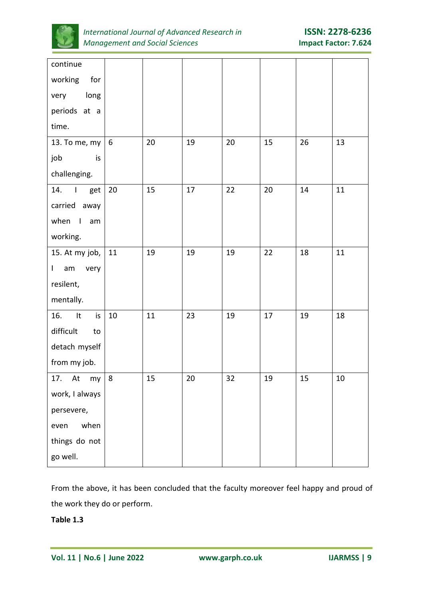

| continue                               |                  |    |        |    |    |    |    |
|----------------------------------------|------------------|----|--------|----|----|----|----|
| working<br>for                         |                  |    |        |    |    |    |    |
| long<br>very                           |                  |    |        |    |    |    |    |
| periods at a                           |                  |    |        |    |    |    |    |
| time.                                  |                  |    |        |    |    |    |    |
| 13. To me, my                          | $\boldsymbol{6}$ | 20 | 19     | 20 | 15 | 26 | 13 |
| job<br>is                              |                  |    |        |    |    |    |    |
| challenging.                           |                  |    |        |    |    |    |    |
| 14.<br>$\blacksquare$<br>get           | 20               | 15 | 17     | 22 | 20 | 14 | 11 |
| carried away                           |                  |    |        |    |    |    |    |
| when<br>$\overline{\phantom{a}}$<br>am |                  |    |        |    |    |    |    |
| working.                               |                  |    |        |    |    |    |    |
| 15. At my job,                         | 11               | 19 | 19     | 19 | 22 | 18 | 11 |
| am<br>$\mathsf{I}$<br>very             |                  |    |        |    |    |    |    |
| resilent,                              |                  |    |        |    |    |    |    |
| mentally.                              |                  |    |        |    |    |    |    |
| 16.<br>It<br>is                        | $10\,$           | 11 | 23     | 19 | 17 | 19 | 18 |
| difficult<br>to                        |                  |    |        |    |    |    |    |
| detach myself                          |                  |    |        |    |    |    |    |
| from my job.                           |                  |    |        |    |    |    |    |
| 17. At my                              | $\,8\,$          | 15 | $20\,$ | 32 | 19 | 15 | 10 |
| work, I always                         |                  |    |        |    |    |    |    |
| persevere,                             |                  |    |        |    |    |    |    |
| when<br>even                           |                  |    |        |    |    |    |    |
| things do not                          |                  |    |        |    |    |    |    |
| go well.                               |                  |    |        |    |    |    |    |

From the above, it has been concluded that the faculty moreover feel happy and proud of the work they do or perform.

**Table 1.3**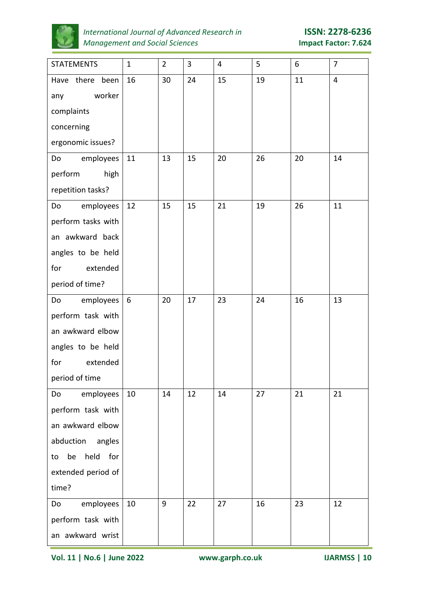

# *International Journal of Advanced Research in* **ISSN: 2278-6236** *Management and Social Sciences* **Impact Factor: 7.624**

| <b>STATEMENTS</b>       | $\mathbf{1}$ | $\overline{2}$ | 3  | 4  | 5  | 6  | 7              |
|-------------------------|--------------|----------------|----|----|----|----|----------------|
| Have there been         | 16           | 30             | 24 | 15 | 19 | 11 | $\overline{4}$ |
| worker<br>any           |              |                |    |    |    |    |                |
| complaints              |              |                |    |    |    |    |                |
| concerning              |              |                |    |    |    |    |                |
| ergonomic issues?       |              |                |    |    |    |    |                |
| employees<br>Do         | 11           | 13             | 15 | 20 | 26 | 20 | 14             |
| perform<br>high         |              |                |    |    |    |    |                |
| repetition tasks?       |              |                |    |    |    |    |                |
| employees<br>Do         | 12           | 15             | 15 | 21 | 19 | 26 | 11             |
| perform tasks with      |              |                |    |    |    |    |                |
| an awkward back         |              |                |    |    |    |    |                |
| angles to be held       |              |                |    |    |    |    |                |
| for<br>extended         |              |                |    |    |    |    |                |
| period of time?         |              |                |    |    |    |    |                |
| employees<br>Do         | 6            | 20             | 17 | 23 | 24 | 16 | 13             |
| perform task with       |              |                |    |    |    |    |                |
| an awkward elbow        |              |                |    |    |    |    |                |
| angles to be held       |              |                |    |    |    |    |                |
| for<br>extended         |              |                |    |    |    |    |                |
| period of time          |              |                |    |    |    |    |                |
| employees<br>Do         | 10           | 14             | 12 | 14 | 27 | 21 | 21             |
| perform task with       |              |                |    |    |    |    |                |
| an awkward elbow        |              |                |    |    |    |    |                |
| abduction angles        |              |                |    |    |    |    |                |
| held<br>be<br>for<br>to |              |                |    |    |    |    |                |
| extended period of      |              |                |    |    |    |    |                |
| time?                   |              |                |    |    |    |    |                |
| employees<br>Do         | 10           | 9              | 22 | 27 | 16 | 23 | 12             |
| perform task with       |              |                |    |    |    |    |                |
| an awkward wrist        |              |                |    |    |    |    |                |

**Vol. 11 | No.6 | June 2022 www.garph.co.uk IJARMSS | 10**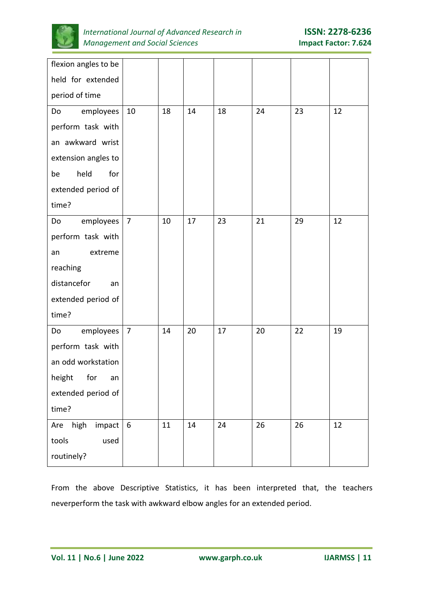

| flexion angles to be |                |    |    |    |    |    |    |
|----------------------|----------------|----|----|----|----|----|----|
| held for extended    |                |    |    |    |    |    |    |
| period of time       |                |    |    |    |    |    |    |
| employees<br>Do      | 10             | 18 | 14 | 18 | 24 | 23 | 12 |
| perform task with    |                |    |    |    |    |    |    |
| an awkward wrist     |                |    |    |    |    |    |    |
| extension angles to  |                |    |    |    |    |    |    |
| held<br>for<br>be    |                |    |    |    |    |    |    |
| extended period of   |                |    |    |    |    |    |    |
| time?                |                |    |    |    |    |    |    |
| employees<br>Do      | $\overline{7}$ | 10 | 17 | 23 | 21 | 29 | 12 |
| perform task with    |                |    |    |    |    |    |    |
| extreme<br>an        |                |    |    |    |    |    |    |
| reaching             |                |    |    |    |    |    |    |
| distancefor<br>an    |                |    |    |    |    |    |    |
| extended period of   |                |    |    |    |    |    |    |
| time?                |                |    |    |    |    |    |    |
| employees<br>Do      | $\overline{7}$ | 14 | 20 | 17 | 20 | 22 | 19 |
| perform task with    |                |    |    |    |    |    |    |
| an odd workstation   |                |    |    |    |    |    |    |
| height for<br>an     |                |    |    |    |    |    |    |
| extended period of   |                |    |    |    |    |    |    |
| time?                |                |    |    |    |    |    |    |
| Are high impact $6$  |                | 11 | 14 | 24 | 26 | 26 | 12 |
| tools<br>used        |                |    |    |    |    |    |    |
| routinely?           |                |    |    |    |    |    |    |

From the above Descriptive Statistics, it has been interpreted that, the teachers neverperform the task with awkward elbow angles for an extended period.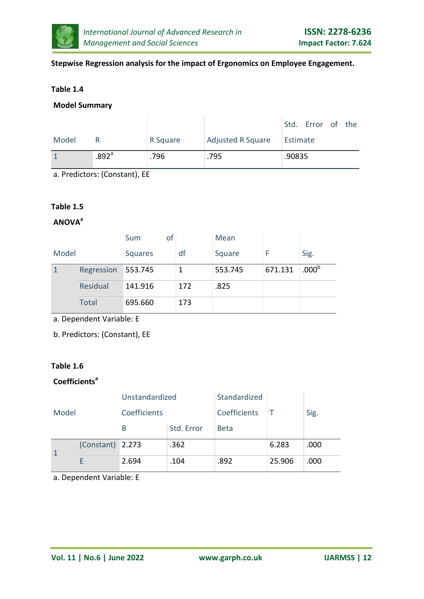

## **Stepwise Regression analysis for the impact of Ergonomics on Employee Engagement.**

## **Table 1.4**

## **Model Summary**

|       |                     |          |                          |          | Std. Error of the |  |
|-------|---------------------|----------|--------------------------|----------|-------------------|--|
| Model |                     | R Square | <b>Adjusted R Square</b> | Estimate |                   |  |
|       | $.892$ <sup>a</sup> | .796     | .795                     | .90835   |                   |  |

a. Predictors: (Constant), EE

## **Table 1.5**

## **ANOVA<sup>a</sup>**

|       |              | of<br>Sum      |     | Mean    |         |                   |
|-------|--------------|----------------|-----|---------|---------|-------------------|
| Model |              | <b>Squares</b> | df  | Square  |         | Sig.              |
|       | Regression   | 553.745        | 1   | 553.745 | 671.131 | .000 <sup>b</sup> |
|       | Residual     | 141.916        | 172 | .825    |         |                   |
|       | <b>Total</b> | 695.660        | 173 |         |         |                   |

a. Dependent Variable: E

b. Predictors: (Constant), EE

## **Table 1.6**

# **Coefficients<sup>a</sup>**

| Model        |                  | Unstandardized |            | Standardized |        |      |
|--------------|------------------|----------------|------------|--------------|--------|------|
|              |                  | Coefficients   |            | Coefficients |        | Sig. |
|              |                  | B              | Std. Error | <b>Beta</b>  |        |      |
| $\mathbf{1}$ | (Constant) 2.273 |                | .362       |              | 6.283  | .000 |
|              |                  | 2.694          | .104       | .892         | 25.906 | .000 |

a. Dependent Variable: E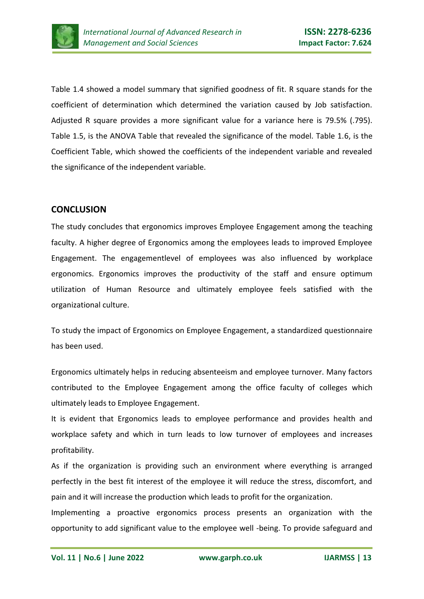

Table 1.4 showed a model summary that signified goodness of fit. R square stands for the coefficient of determination which determined the variation caused by Job satisfaction. Adjusted R square provides a more significant value for a variance here is 79.5% (.795). Table 1.5, is the ANOVA Table that revealed the significance of the model. Table 1.6, is the Coefficient Table, which showed the coefficients of the independent variable and revealed the significance of the independent variable.

# **CONCLUSION**

The study concludes that ergonomics improves Employee Engagement among the teaching faculty. A higher degree of Ergonomics among the employees leads to improved Employee Engagement. The engagementlevel of employees was also influenced by workplace ergonomics. Ergonomics improves the productivity of the staff and ensure optimum utilization of Human Resource and ultimately employee feels satisfied with the organizational culture.

To study the impact of Ergonomics on Employee Engagement, a standardized questionnaire has been used.

Ergonomics ultimately helps in reducing absenteeism and employee turnover. Many factors contributed to the Employee Engagement among the office faculty of colleges which ultimately leads to Employee Engagement.

It is evident that Ergonomics leads to employee performance and provides health and workplace safety and which in turn leads to low turnover of employees and increases profitability.

As if the organization is providing such an environment where everything is arranged perfectly in the best fit interest of the employee it will reduce the stress, discomfort, and pain and it will increase the production which leads to profit for the organization.

Implementing a proactive ergonomics process presents an organization with the opportunity to add significant value to the employee well -being. To provide safeguard and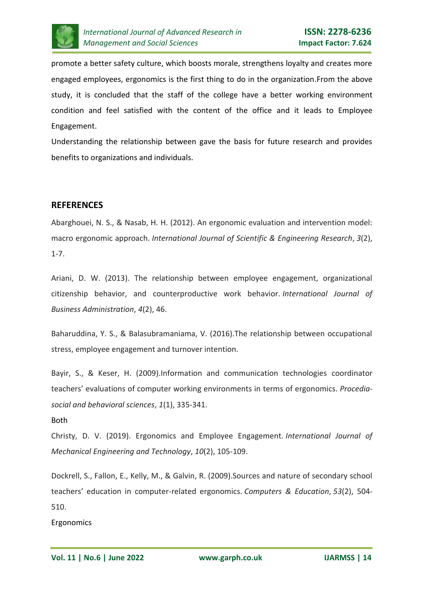

promote a better safety culture, which boosts morale, strengthens loyalty and creates more engaged employees, ergonomics is the first thing to do in the organization.From the above study, it is concluded that the staff of the college have a better working environment condition and feel satisfied with the content of the office and it leads to Employee Engagement.

Understanding the relationship between gave the basis for future research and provides benefits to organizations and individuals.

# **REFERENCES**

Abarghouei, N. S., & Nasab, H. H. (2012). An ergonomic evaluation and intervention model: macro ergonomic approach. *International Journal of Scientific & Engineering Research*, *3*(2), 1-7.

Ariani, D. W. (2013). The relationship between employee engagement, organizational citizenship behavior, and counterproductive work behavior. *International Journal of Business Administration*, *4*(2), 46.

Baharuddina, Y. S., & Balasubramaniama, V. (2016).The relationship between occupational stress, employee engagement and turnover intention.

Bayir, S., & Keser, H. (2009).Information and communication technologies coordinator teachers' evaluations of computer working environments in terms of ergonomics. *Procediasocial and behavioral sciences*, *1*(1), 335-341.

## Both

Christy, D. V. (2019). Ergonomics and Employee Engagement. *International Journal of Mechanical Engineering and Technology*, *10*(2), 105-109.

Dockrell, S., Fallon, E., Kelly, M., & Galvin, R. (2009).Sources and nature of secondary school teachers' education in computer-related ergonomics. *Computers & Education*, *53*(2), 504- 510.

Ergonomics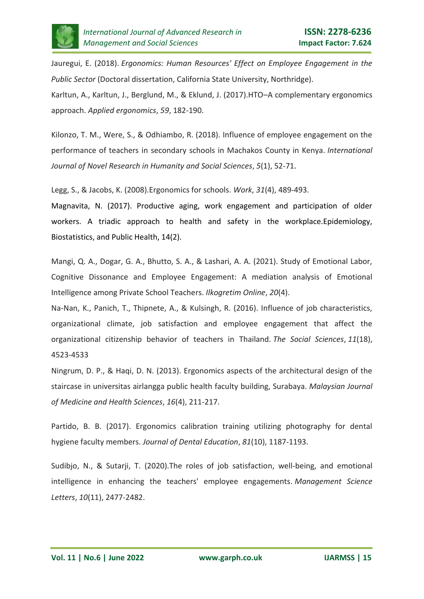

Jauregui, E. (2018). *Ergonomics: Human Resources' Effect on Employee Engagement in the Public Sector* (Doctoral dissertation, California State University, Northridge).

Karltun, A., Karltun, J., Berglund, M., & Eklund, J. (2017).HTO–A complementary ergonomics approach. *Applied ergonomics*, *59*, 182-190.

Kilonzo, T. M., Were, S., & Odhiambo, R. (2018). Influence of employee engagement on the performance of teachers in secondary schools in Machakos County in Kenya. *International Journal of Novel Research in Humanity and Social Sciences*, *5*(1), 52-71.

Legg, S., & Jacobs, K. (2008).Ergonomics for schools. *Work*, *31*(4), 489-493.

Magnavita, N. (2017). Productive aging, work engagement and participation of older workers. A triadic approach to health and safety in the workplace.Epidemiology, Biostatistics, and Public Health, 14(2).

Mangi, Q. A., Dogar, G. A., Bhutto, S. A., & Lashari, A. A. (2021). Study of Emotional Labor, Cognitive Dissonance and Employee Engagement: A mediation analysis of Emotional Intelligence among Private School Teachers. *Ilkogretim Online*, *20*(4).

Na-Nan, K., Panich, T., Thipnete, A., & Kulsingh, R. (2016). Influence of job characteristics, organizational climate, job satisfaction and employee engagement that affect the organizational citizenship behavior of teachers in Thailand. *The Social Sciences*, *11*(18), 4523-4533

Ningrum, D. P., & Haqi, D. N. (2013). Ergonomics aspects of the architectural design of the staircase in universitas airlangga public health faculty building, Surabaya. *Malaysian Journal of Medicine and Health Sciences*, *16*(4), 211-217.

Partido, B. B. (2017). Ergonomics calibration training utilizing photography for dental hygiene faculty members. *Journal of Dental Education*, *81*(10), 1187-1193.

Sudibjo, N., & Sutarji, T. (2020).The roles of job satisfaction, well-being, and emotional intelligence in enhancing the teachers' employee engagements. *Management Science Letters*, *10*(11), 2477-2482.